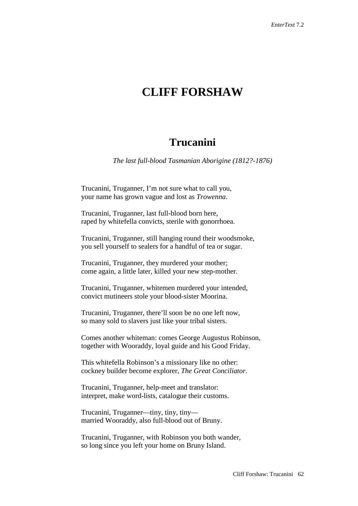# **CLIFF FORSHAW**

## **Trucanini**

*The last full-blood Tasmanian Aborigine (1812?-1876)*

Trucanini, Truganner, I'm not sure what to call you, your name has grown vague and lost as *Trowenna*.

Trucanini, Truganner, last full-blood born here, raped by whitefella convicts, sterile with gonorrhoea.

Trucanini, Truganner, still hanging round their woodsmoke, you sell yourself to sealers for a handful of tea or sugar.

Trucanini, Truganner, they murdered your mother; come again, a little later, killed your new step-mother.

Trucanini, Truganner, whitemen murdered your intended, convict mutineers stole your blood-sister Moorina.

Trucanini, Truganner, there'll soon be no one left now, so many sold to slavers just like your tribal sisters.

Comes another whiteman: comes George Augustus Robinson, together with Wooraddy, loyal guide and his Good Friday.

This whitefella Robinson's a missionary like no other: cockney builder become explorer, *The Great Conciliator*.

Trucanini, Truganner, help-meet and translator: interpret, make word-lists, catalogue their customs.

Trucanini, Truganner—tiny, tiny, tiny married Wooraddy, also full-blood out of Bruny.

Trucanini, Truganner, with Robinson you both wander, so long since you left your home on Bruny Island.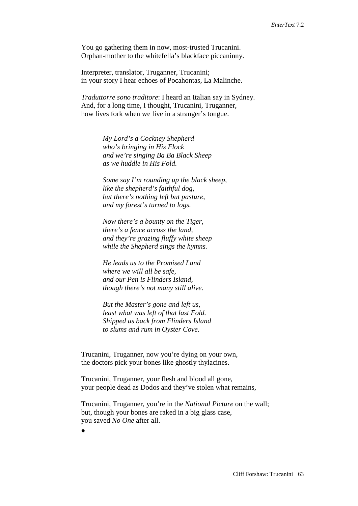You go gathering them in now, most-trusted Trucanini. Orphan-mother to the whitefella's blackface piccaninny.

Interpreter, translator, Truganner, Trucanini; in your story I hear echoes of Pocahontas, La Malinche.

*Traduttorre sono traditore*: I heard an Italian say in Sydney. And, for a long time, I thought, Trucanini, Truganner, how lives fork when we live in a stranger's tongue.

> *My Lord's a Cockney Shepherd who's bringing in His Flock and we're singing Ba Ba Black Sheep as we huddle in His Fold.*

*Some say I'm rounding up the black sheep, like the shepherd's faithful dog, but there's nothing left but pasture, and my forest's turned to logs.*

*Now there's a bounty on the Tiger, there's a fence across the land, and they're grazing fluffy white sheep while the Shepherd sings the hymns.*

*He leads us to the Promised Land where we will all be safe, and our Pen is Flinders Island, though there's not many still alive.*

*But the Master's gone and left us, least what was left of that last Fold. Shipped us back from Flinders Island to slums and rum in Oyster Cove.*

Trucanini, Truganner, now you're dying on your own, the doctors pick your bones like ghostly thylacines.

Trucanini, Truganner, your flesh and blood all gone, your people dead as Dodos and they've stolen what remains,

Trucanini, Truganner, you're in the *National Picture* on the wall; but, though your bones are raked in a big glass case, you saved *No One* after all.

•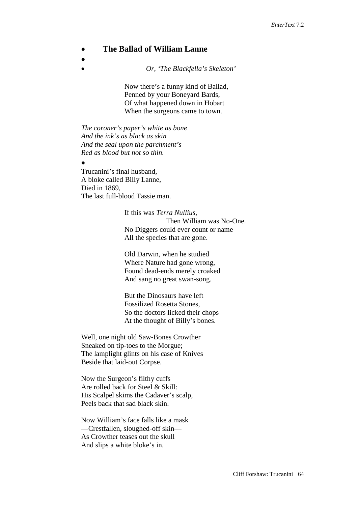## • **The Ballad of William Lanne**

•

• *Or, 'The Blackfella's Skeleton'*

Now there's a funny kind of Ballad, Penned by your Boneyard Bards, Of what happened down in Hobart When the surgeons came to town.

*The coroner's paper's white as bone And the ink's as black as skin And the seal upon the parchment's Red as blood but not so thin.*

• Trucanini's final husband, A bloke called Billy Lanne, Died in 1869, The last full-blood Tassie man.

> If this was *Terra Nullius*, Then William was No-One. No Diggers could ever count or name All the species that are gone.

Old Darwin, when he studied Where Nature had gone wrong, Found dead-ends merely croaked And sang no great swan-song.

But the Dinosaurs have left Fossilized Rosetta Stones, So the doctors licked their chops At the thought of Billy's bones.

Well, one night old Saw-Bones Crowther Sneaked on tip-toes to the Morgue; The lamplight glints on his case of Knives Beside that laid-out Corpse.

Now the Surgeon's filthy cuffs Are rolled back for Steel & Skill: His Scalpel skims the Cadaver's scalp, Peels back that sad black skin.

Now William's face falls like a mask —Crestfallen, sloughed-off skin— As Crowther teases out the skull And slips a white bloke's in.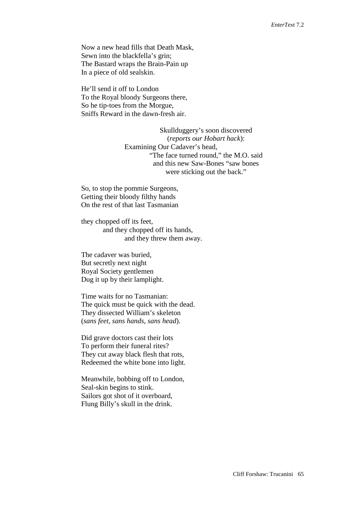Now a new head fills that Death Mask, Sewn into the blackfella's grin; The Bastard wraps the Brain-Pain up In a piece of old sealskin.

He'll send it off to London To the Royal bloody Surgeons there, So he tip-toes from the Morgue, Sniffs Reward in the dawn-fresh air.

> Skullduggery's soon discovered (*reports our Hobart hack*): Examining Our Cadaver's head, "The face turned round," the M.O. said and this new Saw-Bones "saw bones were sticking out the back."

So, to stop the pommie Surgeons, Getting their bloody filthy hands On the rest of that last Tasmanian

they chopped off its feet, and they chopped off its hands, and they threw them away.

The cadaver was buried, But secretly next night Royal Society gentlemen Dug it up by their lamplight.

Time waits for no Tasmanian: The quick must be quick with the dead. They dissected William's skeleton (*sans feet, sans hands, sans head*).

Did grave doctors cast their lots To perform their funeral rites? They cut away black flesh that rots, Redeemed the white bone into light.

Meanwhile, bobbing off to London, Seal-skin begins to stink. Sailors got shot of it overboard, Flung Billy's skull in the drink.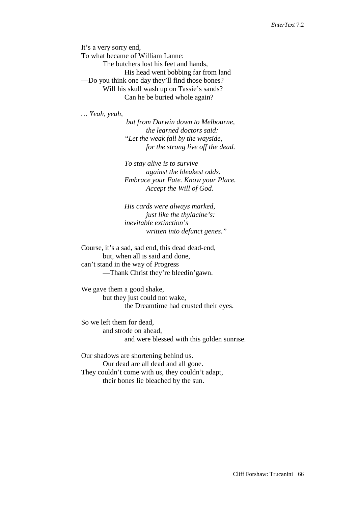It's a very sorry end, To what became of William Lanne: The butchers lost his feet and hands, His head went bobbing far from land —Do you think one day they'll find those bones? Will his skull wash up on Tassie's sands? Can he be buried whole again?

*… Yeah, yeah,* 

*but from Darwin down to Melbourne, the learned doctors said: "Let the weak fall by the wayside, for the strong live off the dead.*

*To stay alive is to survive against the bleakest odds. Embrace your Fate. Know your Place. Accept the Will of God.*

*His cards were always marked, just like the thylacine's: inevitable extinction's written into defunct genes."*

Course, it's a sad, sad end, this dead dead-end, but, when all is said and done, can't stand in the way of Progress —Thank Christ they're bleedin'gawn.

We gave them a good shake, but they just could not wake, the Dreamtime had crusted their eyes.

So we left them for dead, and strode on ahead, and were blessed with this golden sunrise.

Our shadows are shortening behind us. Our dead are all dead and all gone. They couldn't come with us, they couldn't adapt, their bones lie bleached by the sun.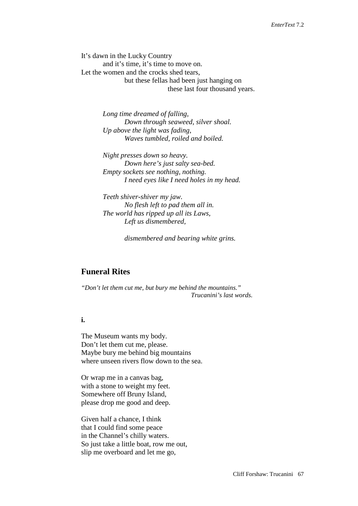It's dawn in the Lucky Country and it's time, it's time to move on. Let the women and the crocks shed tears, but these fellas had been just hanging on these last four thousand years.

> *Long time dreamed of falling, Down through seaweed, silver shoal. Up above the light was fading, Waves tumbled, roiled and boiled.*

*Night presses down so heavy. Down here's just salty sea-bed. Empty sockets see nothing, nothing. I need eyes like I need holes in my head.*

*Teeth shiver-shiver my jaw. No flesh left to pad them all in. The world has ripped up all its Laws, Left us dismembered,*

*dismembered and bearing white grins.*

## **Funeral Rites**

*"Don't let them cut me, but bury me behind the mountains." Trucanini's last words.*

## **i.**

The Museum wants my body. Don't let them cut me, please. Maybe bury me behind big mountains where unseen rivers flow down to the sea.

Or wrap me in a canvas bag, with a stone to weight my feet. Somewhere off Bruny Island, please drop me good and deep.

Given half a chance, I think that I could find some peace in the Channel's chilly waters. So just take a little boat, row me out, slip me overboard and let me go,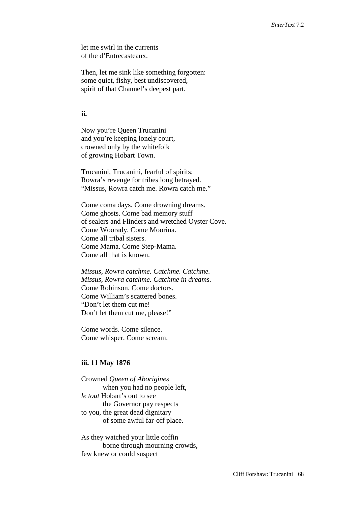let me swirl in the currents of the d'Entrecasteaux.

Then, let me sink like something forgotten: some quiet, fishy, best undiscovered, spirit of that Channel's deepest part.

#### **ii.**

Now you're Queen Trucanini and you're keeping lonely court, crowned only by the whitefolk of growing Hobart Town.

Trucanini, Trucanini, fearful of spirits; Rowra's revenge for tribes long betrayed. "Missus, Rowra catch me. Rowra catch me."

Come coma days. Come drowning dreams. Come ghosts. Come bad memory stuff of sealers and Flinders and wretched Oyster Cove. Come Woorady. Come Moorina. Come all tribal sisters. Come Mama. Come Step-Mama. Come all that is known.

*Missus, Rowra catchme. Catchme. Catchme. Missus, Rowra catchme. Catchme in dreams.* Come Robinson. Come doctors. Come William's scattered bones. "Don't let them cut me! Don't let them cut me, please!"

Come words. Come silence. Come whisper. Come scream.

#### **iii. 11 May 1876**

Crowned *Queen of Aborigines*  when you had no people left, *le tout* Hobart's out to see the Governor pay respects to you, the great dead dignitary of some awful far-off place.

As they watched your little coffin borne through mourning crowds, few knew or could suspect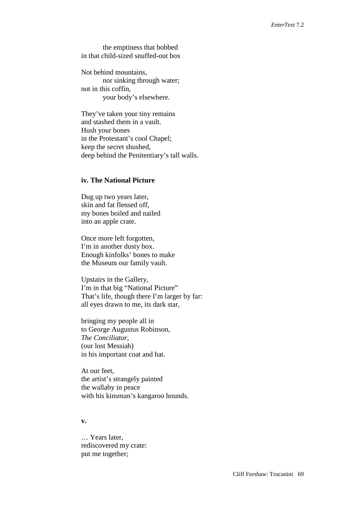the emptiness that bobbed in that child-sized snuffed-out box

Not behind mountains, nor sinking through water; not in this coffin, your body's elsewhere.

They've taken your tiny remains and stashed them in a vault. Hush your bones in the Protestant's cool Chapel; keep the secret shushed, deep behind the Penitentiary's tall walls.

#### **iv. The National Picture**

Dug up two years later, skin and fat flensed off, my bones boiled and nailed into an apple crate.

Once more left forgotten, I'm in another dusty box. Enough kinfolks' bones to make the Museum our family vault.

Upstairs in the Gallery, I'm in that big "National Picture" That's life, though there I'm larger by far: all eyes drawn to me, its dark star,

bringing my people all in to George Augustus Robinson, *The Conciliator*, (our lost Messiah) in his important coat and hat.

At our feet, the artist's strangely painted the wallaby in peace with his kinsman's kangaroo hounds.

#### **v.**

… Years later, rediscovered my crate: put me together;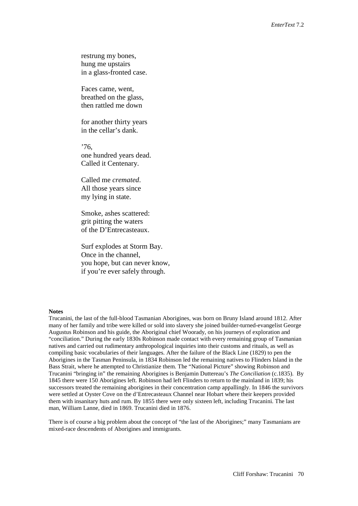restrung my bones, hung me upstairs in a glass-fronted case.

Faces came, went, breathed on the glass, then rattled me down

for another thirty years in the cellar's dank.

 $'76$ one hundred years dead. Called it Centenary.

Called me *cremated*. All those years since my lying in state.

Smoke, ashes scattered: grit pitting the waters of the D'Entrecasteaux.

Surf explodes at Storm Bay. Once in the channel, you hope, but can never know, if you're ever safely through.

#### **Notes**

Trucanini, the last of the full-blood Tasmanian Aborigines, was born on Bruny Island around 1812. After many of her family and tribe were killed or sold into slavery she joined builder-turned-evangelist George Augustus Robinson and his guide, the Aboriginal chief Woorady, on his journeys of exploration and "conciliation." During the early 1830s Robinson made contact with every remaining group of Tasmanian natives and carried out rudimentary anthropological inquiries into their customs and rituals, as well as compiling basic vocabularies of their languages. After the failure of the Black Line (1829) to pen the Aborigines in the Tasman Peninsula, in 1834 Robinson led the remaining natives to Flinders Island in the Bass Strait, where he attempted to Christianize them. The "National Picture" showing Robinson and Trucanini "bringing in" the remaining Aborigines is Benjamin Duttereau's *The Conciliation* (c.1835). By 1845 there were 150 Aborigines left. Robinson had left Flinders to return to the mainland in 1839; his successors treated the remaining aborigines in their concentration camp appallingly. In 1846 the survivors were settled at Oyster Cove on the d'Entrecasteaux Channel near Hobart where their keepers provided them with insanitary huts and rum. By 1855 there were only sixteen left, including Trucanini. The last man, William Lanne, died in 1869. Trucanini died in 1876.

There is of course a big problem about the concept of "the last of the Aborigines;" many Tasmanians are mixed-race descendents of Aborigines and immigrants.